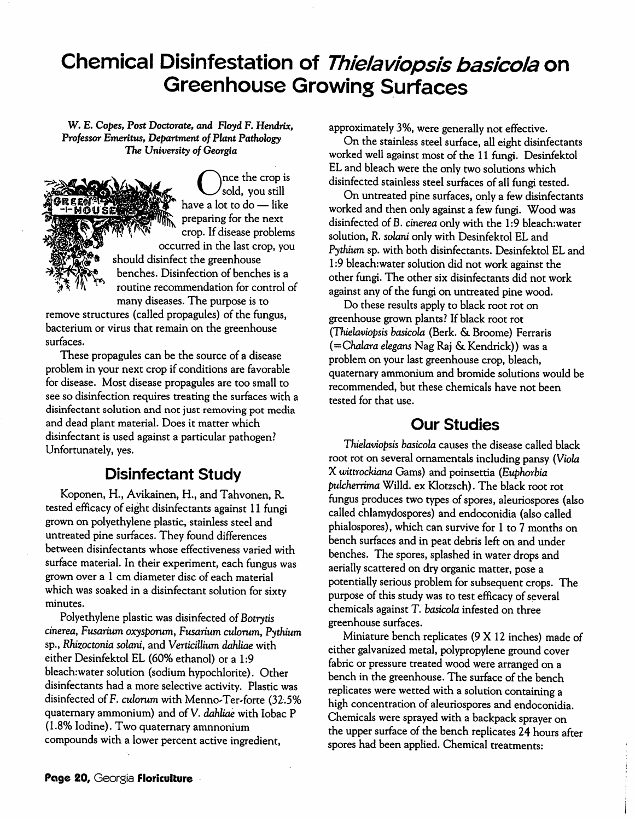## *Chemical Disinfestation of Thielaviopsis basicola on Greenhouse Growing Surfaces*

W. E. **Copes, Post Doctorate, and Floyd**F. **Hendrix, Professor Emeritus, Department of Plant Pathology The University of Georgia**



 $\mathop{\mathsf{mce}}$  the crop is s sold, you still have a lot to do — like preparing for the next crop. If disease problems occurred in the last crop, you

should disinfect the greenhouse benches. Disinfection of benches is a routine recommendation for control of many diseases. The purpose is to

remove structures (called propagules) of the fungus, bacterium or virus that remain on the greenhouse surfaces.

These propagules can be the source of a disease problem in your next crop if conditions are favorable for disease. Most disease propagules are too small to see so disinfection requires treating the surfaces with a disinfectant solution and not just removing pot media and dead plant material. Does it matter which disinfectant is used against a particular pathogen? Unfortunately, yes.

## *Disinfectant Study*

Koponen, H., Avikainen, H., and Tahvonen, R. tested efficacy of eight disinfectants against 11 fungi grownon polyethylene plastic, stainless steel and untreated pine surfaces. They found differences between disinfectants whose effectiveness varied with surface material. In their experiment, each fungus was grown over a 1 cm diameter disc of each material which was soaked in a disinfectant solution for sixty minutes.

Polyethylene plastic was disinfected of Botrytis **cinerea, Fusarium oxysporum, Fusarium culorum, Pythium** sp., **Rhizoctonia solani,** and **Verticillium dahliae** with either Desinfektol EL (60% ethanol) or a 1:9 bleach:water solution (sodium hypochlorite). Other disinfectants had a more selective activity. Plastic was disinfected of F. **culorum** with Menno-Ter-forte (32.5% quaternary ammonium) and of V. **dahliae** with Iobac P (1.8% Iodine). Two quaternary amnnonium compounds with a lower percent active ingredient,

approximately 3%, were generally not effective.

On the stainless steel surface, all eight disinfectants worked well against mostof the 11 fungi. Desinfektol EL and bleach were the only two solutions which disinfected stainless steel surfaces of all fungi tested.

On untreated pine surfaces, onlya few disinfectants worked and then only against a few fungi. Wood was disinfected of B. **cinerea** only with the 1:9 bleach:water solution, **R. solani** only with Desinfektol EL and **Pythium** sp. with both disinfectants. Desinfektol EL and 1:9 bleach:water solution did not work against the other fungi. The other six disinfectants did not work against any of the fungi on untreated pine wood.

Do these results apply to black root rot on greenhouse grown plants? If black root rot **(Thielaviopsis basicola** (Berk. & Broome) Ferraris **(—Chalara elegans** Nag Raj & Kendrick)) wasa problem on your last greenhouse crop, bleach, quaternary ammonium and bromide solutions would be recommended, but these chemicals have not been tested for that use.

## *Our Studies*

**Thielaviopsis basicola** causes the disease called black root rot on several ornamentals including pansy (Viola  $X$  wittrockiana Gams) and poinsettia (Euphorbia **pulcherrima** Willd. ex Klotzsch). The black root rot fungus produces two types of spores, aleuriospores (also called chlamydospores) and endoconidia (also called phialospores), which can survive for 1 to 7 months on bench surfaces and in peat debris left on and under benches. The spores, splashed in water drops and aerially scattered on dry organic matter, pose a potentially serious problem for subsequent crops. The purpose of this study was to test efficacy of several chemicals against T. basicola infested on three greenhouse surfaces.

Miniature bench replicates (9X12 inches) made of either galvanized metal, polypropylene ground cover fabric or pressure treated wood were arranged on a bench in the greenhouse. The surface of the bench replicates were wetted with a solution containing a high concentration of aleuriospores and endoconidia. Chemicals were sprayed with a backpack sprayer on the upper surface of the bench replicates 24 hours after spores had been applied. Chemical treatments: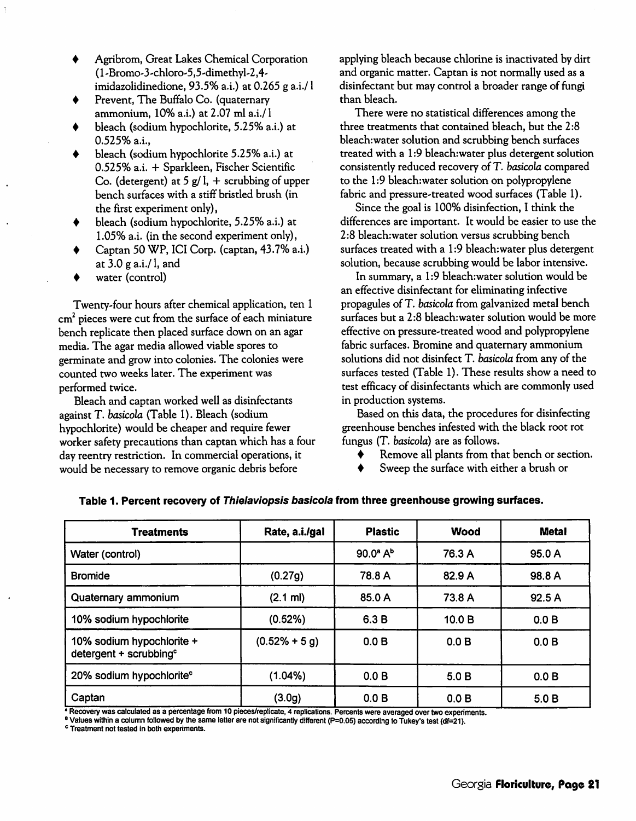Agribrom, Great Lakes Chemical Corporation (l'Bromo-3-chloro-5,5-dimethyl-2,4 imidazolidinedione, 93.5% a.i.) at 0.265 g a.i./1

Prevent, The Buffalo Co. (quaternary ammonium, 10% a.i.) at 2.07 ml a.i./l

- bleach (sodium hypochlorite, 5.25% a.i.) at 0.525% a.i.,
- bleach (sodium hypochlorite 5.25% a.i.) at 0.525% a.i. + Sparkleen, Fischer Scientific Co. (detergent) at 5  $g/1$ , + scrubbing of upper bench surfaces with a stiff bristled brush (in the first experiment only),
- bleach (sodium hypochlorite, 5.25% a.i.) at 1.05% a.i. (in the second experiment only),
- Captan 50 WP, ICI Corp. (captan, 43.7%a.i.) at  $3.0$  g a.i./l, and
- water (control)

Twenty-four hours after chemical application, ten 1  $cm<sup>2</sup>$  pieces were cut from the surface of each miniature bench replicate then placed surface down on an agar media.The agar media allowed viable spores to germinate and grow into colonies. The colonies were counted two weeks later. The experiment was performed twice.

Bleach and captan worked well as disinfectants against T. **basicola** (Table 1). Bleach (sodium hypochlorite) would be cheaper and require fewer worker safety precautions than captan which has a four day reentry restriction. In commercial operations, it would be necessary to remove organic debris before

applying bleach because chlorine is inactivated by dirt and organic matter. Captan is not normally used as a disinfectant but may control a broader range of fungi than bleach.

There were no statistical differences among the three treatments that contained bleach, but the 2:8 bleach:water solution and scrubbing bench surfaces treated with a 1:9 bleach:water plus detergent solution consistently reduced recovery of T. **basicola** compared to the 1:9 bleach:water solution on polypropylene fabric and pressure-treated wood surfaces (Table 1).

Since the goal is 100% disinfection, I think the differences are important. It would be easier to use the 2:8 bleach:water solution versus scrubbing bench surfaces treated with a 1:9 bleach: water plus detergent solution, because scrubbing would be labor intensive.

In summary, a 1:9 bleach:water solution would be an effective disinfectant for eliminating infective propagules of T. **basicola** fromgalvanized metal bench surfaces but a 2:8 bleach:water solution would be more effective on pressure-treated wood and polypropylene fabric surfaces. Bromine and quaternary ammonium solutions did not disinfect T. **basicola** from any of the surfaces tested (Table 1). These results show a need to test efficacy of disinfectants which are commonly used in production systems.

Based on this data, the procedures for disinfecting greenhouse benches infested with the black root rot fungus (T. **basicola)** are as follows.

- Remove all plants from that bench or section. ♦
- Sweep the surface with either a brush or

| <b>Treatments</b>                                               | Rate, a.i./gal     | <b>Plastic</b>           | <b>Wood</b> | <b>Metal</b> |
|-----------------------------------------------------------------|--------------------|--------------------------|-------------|--------------|
| Water (control)                                                 |                    | $90.0^{\circ} A^{\circ}$ | 76.3 A      | 95.0 A       |
| <b>Bromide</b>                                                  | (0.27g)            | 78.8 A                   | 82.9 A      | 98.8 A       |
| Quaternary ammonium                                             | $(2.1 \text{ ml})$ | 85.0 A                   | 73.8 A      | 92.5 A       |
| 10% sodium hypochlorite                                         | (0.52%)            | 6.3 B                    | 10.0 B      | 0.0 B        |
| 10% sodium hypochlorite +<br>detergent + scrubbing <sup>c</sup> | $(0.52\% + 5 g)$   | 0.0 B                    | 0.0 B       | 0.0 B        |
| 20% sodium hypochlorite <sup>c</sup>                            | $(1.04\%)$         | 0.0 B                    | 5.0B        | 0.0 B        |
| Captan                                                          | (3.0g)             | 0.0 B                    | 0.0 B       | 5.0 B        |

*Table 1. Percent recovery of Thielaviopsis basicola from three greenhouse growing surfaces.*

*\*Recoverywas calculated as a percentage from 10 pieces/replicate, 4 replications. Percents were averagedovertwoexperiments.*

*BValueswithin a columnfollowed by the same letterare notsignificantly different (P=0.05) according to Tukey's test (df=21).*

*c Treatment not tested in both experiments.*